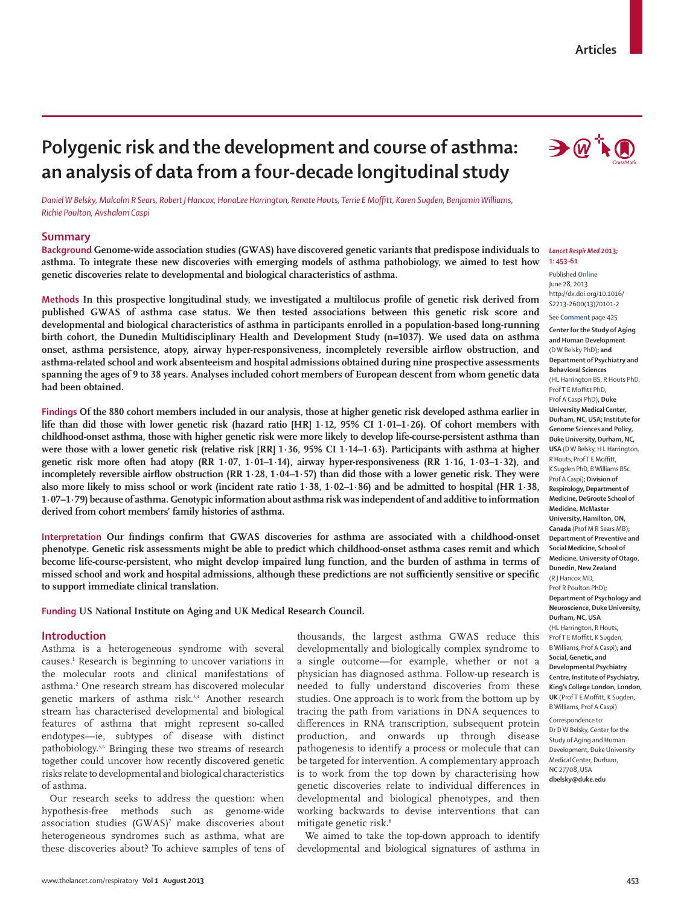#### www.thelancet.com/respiratory **Vol 1 August 2013 453**

# **Polygenic risk and the development and course of asthma: an analysis of data from a four-decade longitudinal study**

Daniel W Belsky, Malcolm R Sears, Robert J Hancox, HonaLee Harrington, Renate Houts, Terrie E Moffitt, Karen Sugden, Benjamin Williams, *Richie Poulton, Avshalom Caspi*

## **Summary**

**Background Genome-wide association studies (GWAS) have discovered genetic variants that predispose individuals to asthma. To integrate these new discoveries with emerging models of asthma pathobiology, we aimed to test how genetic discoveries relate to developmental and biological characteristics of asthma.** 

**Methods In this prospective longitudinal study, we investigated a multilocus profile of genetic risk derived from published GWAS of asthma case status. We then tested associations between this genetic risk score and developmental and biological characteristics of asthma in participants enrolled in a population-based long-running birth cohort, the Dunedin Multidisciplinary Health and Development Study (n=1037). We used data on asthma**  onset, asthma persistence, atopy, airway hyper-responsiveness, incompletely reversible airflow obstruction, and **asthma-related school and work absenteeism and hospital admissions obtained during nine prospective assessments spanning the ages of 9 to 38 years. Analyses included cohort members of European descent from whom genetic data had been obtained.**

**Findings Of the 880 cohort members included in our analysis, those at higher genetic risk developed asthma earlier in life than did those with lower genetic risk (hazard ratio [HR] 1·12, 95% CI 1·01–1·26). Of cohort members with childhood-onset asthma, those with higher genetic risk were more likely to develop life-course-persistent asthma than were those with a lower genetic risk (relative risk [RR] 1·36, 95% CI 1·14–1·63). Participants with asthma at higher genetic risk more often had atopy (RR 1·07, 1·01–1·14), airway hyper-responsiveness (RR 1·16, 1·03–1·32), and**  incompletely reversible airflow obstruction (RR 1·28, 1·04–1·57) than did those with a lower genetic risk. They were **also more likely to miss school or work (incident rate ratio 1·38, 1·02–1·86) and be admitted to hospital (HR 1·38, 1·07–1·79) because of asthma. Genotypic information about asthma risk was independent of and additive to information derived from cohort members' family histories of asthma.** 

Interpretation Our findings confirm that GWAS discoveries for asthma are associated with a childhood-onset **phenotype. Genetic risk assessments might be able to predict which childhood-onset asthma cases remit and which become life-course-persistent, who might develop impaired lung function, and the burden of asthma in terms of**  missed school and work and hospital admissions, although these predictions are not sufficiently sensitive or specific **to support immediate clinical translation.**

**Funding US National Institute on Aging and UK Medical Research Council.** 

## **Introduction**

Asthma is a heterogeneous syndrome with several causes.1 Research is beginning to uncover variations in the molecular roots and clinical manifestations of asthma.2 One research stream has discovered molecular genetic markers of asthma risk.<sup>3,4</sup> Another research stream has characterised developmental and biological features of asthma that might represent so-called endotypes—ie, subtypes of disease with distinct pathobiology.5,6 Bringing these two streams of research together could uncover how recently discovered genetic risks relate to developmental and biological characteristics of asthma.

Our research seeks to address the question: when hypothesis-free methods such as genome-wide association studies (GWAS)<sup>7</sup> make discoveries about heterogeneous syndromes such as asthma, what are these discoveries about? To achieve samples of tens of

thousands, the largest asthma GWAS reduce this developmentally and biologically complex syndrome to a single outcome—for example, whether or not a physician has diagnosed asthma. Follow-up research is needed to fully understand discoveries from these studies. One approach is to work from the bottom up by tracing the path from variations in DNA sequences to differences in RNA transcription, subsequent protein production, and onwards up through disease pathogenesis to identify a process or molecule that can be targeted for intervention. A complementary approach is to work from the top down by characterising how genetic discoveries relate to individual differences in developmental and biological phenotypes, and then working backwards to devise interventions that can mitigate genetic risk.<sup>8</sup>

We aimed to take the top-down approach to identify developmental and biological signatures of asthma in

#### *Lancet Respir Med* **2013; 1: 453–61**

## Published **Online** June 28, 2013 http://dx.doi.org/10.1016/ S2213-2600(13)70101-2

See **Comment** page 425

**Center for the Study of Aging and Human Development** (D W Belsky PhD)**; and Department of Psychiatry and Behavioral Sciences** (HL Harrington BS, R Houts PhD, Prof T F Moffitt PhD Prof A Caspi PhD)**, Duke University Medical Center, Durham, NC, USA; Institute for Genome Sciences and Policy, Duke University, Durham, NC, USA** (D W Belsky, H L Harrington, R Houts, Prof T E Moffitt K Sugden PhD, B Williams BSc, Prof A Caspi)**; Division of Respirology, Department of Medicine, DeGroote School of Medicine, McMaster University, Hamilton, ON, Canada** (Prof M R Sears MB)**; Department of Preventive and Social Medicine, School of Medicine, University of Otago, Dunedin, New Zealand** (R J Hancox MD, Prof R Poulton PhD)**; Department of Psychology and Neuroscience, Duke University, Durham, NC, USA** (HL Harrington, R Houts, Prof T E Moffitt, K Sugden, B Williams, Prof A Caspi)**; and Social, Genetic, and Developmental Psychiatry Centre, Institute of Psychiatry, King's College London, London, UK** (Prof T E Moffitt, K Sugden, B Williams, Prof A Caspi) Correspondence to:

Dr D W Belsky, Center for the Study of Aging and Human Development, Duke University Medical Center, Durham, NC 27708, USA **dbelsky@duke.edu**

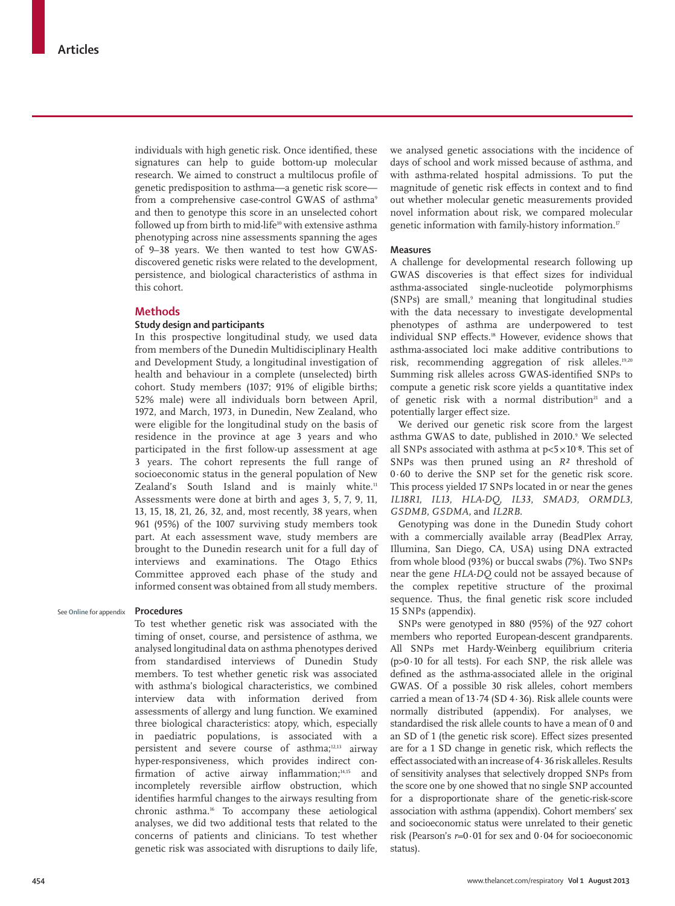individuals with high genetic risk. Once identified, these signatures can help to guide bottom-up molecular research. We aimed to construct a multilocus profile of genetic predisposition to asthma—a genetic risk score from a comprehensive case-control GWAS of asthma<sup>9</sup> and then to genotype this score in an unselected cohort followed up from birth to mid-life<sup>10</sup> with extensive asthma phenotyping across nine assessments spanning the ages of 9–38 years. We then wanted to test how GWASdiscovered genetic risks were related to the development, persistence, and biological characteristics of asthma in this cohort.

# **Methods**

# **Study design and participants**

In this prospective longitudinal study, we used data from members of the Dunedin Multidisciplinary Health and Development Study, a longitudinal investigation of health and behaviour in a complete (unselected) birth cohort. Study members (1037; 91% of eligible births; 52% male) were all individuals born between April, 1972, and March, 1973, in Dunedin, New Zealand, who were eligible for the longitudinal study on the basis of residence in the province at age 3 years and who participated in the first follow-up assessment at age 3 years. The cohort represents the full range of socioeconomic status in the general population of New Zealand's South Island and is mainly white.<sup>11</sup> Assessments were done at birth and ages 3, 5, 7, 9, 11, 13, 15, 18, 21, 26, 32, and, most recently, 38 years, when 961 (95%) of the 1007 surviving study members took part. At each assessment wave, study members are brought to the Dunedin research unit for a full day of interviews and examinations. The Otago Ethics Committee approved each phase of the study and informed consent was obtained from all study members.

### See **Online** for appendix

## **Procedures**

To test whether genetic risk was associated with the timing of onset, course, and persistence of asthma, we analysed longitudinal data on asthma phenotypes derived from standardised interviews of Dunedin Study members. To test whether genetic risk was associated with asthma's biological characteristics, we combined interview data with information derived from assessments of allergy and lung function. We examined three biological characteristics: atopy, which, especially in paediatric populations, is associated with a persistent and severe course of asthma;12,13 airway hyper-responsiveness, which provides indirect confirmation of active airway inflammation;<sup>14,15</sup> and incompletely reversible airflow obstruction, which identifies harmful changes to the airways resulting from chronic asthma.16 To accompany these aetiological analyses, we did two additional tests that related to the concerns of patients and clinicians. To test whether genetic risk was associated with disruptions to daily life, we analysed genetic associations with the incidence of days of school and work missed because of asthma, and with asthma-related hospital admissions. To put the magnitude of genetic risk effects in context and to find out whether molecular genetic measurements provided novel information about risk, we compared molecular genetic information with family-history information.<sup>17</sup>

## **Measures**

A challenge for developmental research following up GWAS discoveries is that effect sizes for individual asthma-associated single-nucleotide polymorphisms (SNPs) are small,<sup>9</sup> meaning that longitudinal studies with the data necessary to investigate developmental phenotypes of asthma are underpowered to test individual SNP effects.<sup>18</sup> However, evidence shows that asthma-associated loci make additive contributions to risk, recommending aggregation of risk alleles.19,20 Summing risk alleles across GWAS-identified SNPs to compute a genetic risk score yields a quantitative index of genetic risk with a normal distribution<sup>21</sup> and a potentially larger effect size.

We derived our genetic risk score from the largest asthma GWAS to date, published in 2010.<sup>9</sup> We selected all SNPs associated with asthma at  $p < 5 \times 10^{-8}$ . This set of SNPs was then pruned using an *R²* threshold of 0·60 to derive the SNP set for the genetic risk score. This process yielded 17 SNPs located in or near the genes *IL18R1*, *IL13*, *HLA-DQ*, *IL33*, *SMAD3*, *ORMDL3*, *GSDMB*, *GSDMA*, and *IL2RB*.

Genotyping was done in the Dunedin Study cohort with a commercially available array (BeadPlex Array, Illumina, San Diego, CA, USA) using DNA extracted from whole blood (93%) or buccal swabs (7%). Two SNPs near the gene *HLA-DQ* could not be assayed because of the complex repetitive structure of the proximal sequence. Thus, the final genetic risk score included 15 SNPs (appendix).

SNPs were genotyped in 880 (95%) of the 927 cohort members who reported European-descent grandparents. All SNPs met Hardy-Weinberg equilibrium criteria  $(p>0.10$  for all tests). For each SNP, the risk allele was defined as the asthma-associated allele in the original GWAS. Of a possible 30 risk alleles, cohort members carried a mean of 13·74 (SD 4·36). Risk allele counts were normally distributed (appendix). For analyses, we standardised the risk allele counts to have a mean of 0 and an SD of 1 (the genetic risk score). Effect sizes presented are for a 1 SD change in genetic risk, which reflects the effect associated with an increase of 4 · 36 risk alleles. Results of sensitivity analyses that selectively dropped SNPs from the score one by one showed that no single SNP accounted for a disproportionate share of the genetic-risk-score association with asthma (appendix). Cohort members' sex and socioeconomic status were unrelated to their genetic risk (Pearson's  $r=0.01$  for sex and  $0.04$  for socioeconomic status).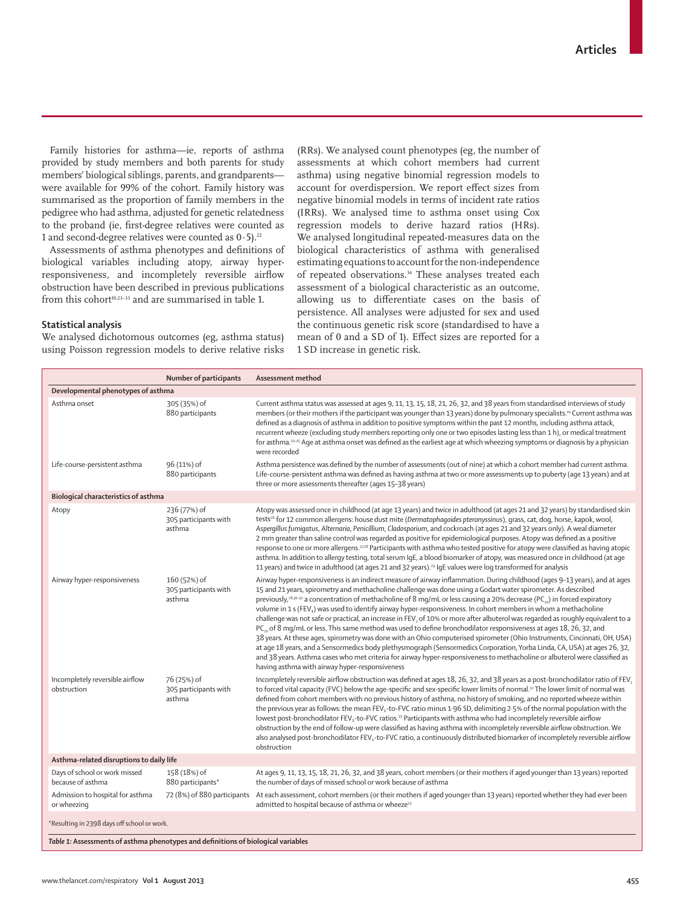Family histories for asthma—ie, reports of asthma provided by study members and both parents for study members' biological siblings, parents, and grandparents were available for 99% of the cohort. Family history was summarised as the proportion of family members in the pedigree who had asthma, adjusted for genetic relatedness to the proband (ie, first-degree relatives were counted as 1 and second-degree relatives were counted as  $0.5$ ).<sup>22</sup>

Assessments of asthma phenotypes and definitions of biological variables including atopy, airway hyperresponsiveness, and incompletely reversible airflow obstruction have been described in previous publications from this cohort<sup>10,23–33</sup> and are summarised in table 1.

# **Statistical analysis**

We analysed dichotomous outcomes (eg, asthma status) using Poisson regression models to derive relative risks (RRs). We analysed count phenotypes (eg, the number of assessments at which cohort members had current asthma) using negative binomial regression models to account for overdispersion. We report effect sizes from negative binomial models in terms of incident rate ratios (IRRs). We analysed time to asthma onset using Cox regression models to derive hazard ratios (HRs). We analysed longitudinal repeated-measures data on the biological characteristics of asthma with generalised estimating equations to account for the non-independence of repeated observations.<sup>34</sup> These analyses treated each assessment of a biological characteristic as an outcome, allowing us to differentiate cases on the basis of persistence. All analyses were adjusted for sex and used the continuous genetic risk score (standardised to have a mean of 0 and a SD of 1). Effect sizes are reported for a 1 SD increase in genetic risk.

|                                                                                   | Number of participants                          | Assessment method                                                                                                                                                                                                                                                                                                                                                                                                                                                                                                                                                                                                                                                                                                                                                                                                                                                                                                                                                                                                                                                                                                                                                                                                                                |  |  |  |
|-----------------------------------------------------------------------------------|-------------------------------------------------|--------------------------------------------------------------------------------------------------------------------------------------------------------------------------------------------------------------------------------------------------------------------------------------------------------------------------------------------------------------------------------------------------------------------------------------------------------------------------------------------------------------------------------------------------------------------------------------------------------------------------------------------------------------------------------------------------------------------------------------------------------------------------------------------------------------------------------------------------------------------------------------------------------------------------------------------------------------------------------------------------------------------------------------------------------------------------------------------------------------------------------------------------------------------------------------------------------------------------------------------------|--|--|--|
| Developmental phenotypes of asthma                                                |                                                 |                                                                                                                                                                                                                                                                                                                                                                                                                                                                                                                                                                                                                                                                                                                                                                                                                                                                                                                                                                                                                                                                                                                                                                                                                                                  |  |  |  |
| Asthma onset                                                                      | 305 (35%) of<br>880 participants                | Current asthma status was assessed at ages 9, 11, 13, 15, 18, 21, 26, 32, and 38 years from standardised interviews of study<br>members (or their mothers if the participant was younger than 13 years) done by pulmonary specialists. <sup>10</sup> Current asthma was<br>defined as a diagnosis of asthma in addition to positive symptoms within the past 12 months, including asthma attack,<br>recurrent wheeze (excluding study members reporting only one or two episodes lasting less than 1 h), or medical treatment<br>for asthma. <sup>23-25</sup> Age at asthma onset was defined as the earliest age at which wheezing symptoms or diagnosis by a physician<br>were recorded                                                                                                                                                                                                                                                                                                                                                                                                                                                                                                                                                        |  |  |  |
| Life-course-persistent asthma                                                     | 96 (11%) of<br>880 participants                 | Asthma persistence was defined by the number of assessments (out of nine) at which a cohort member had current asthma.<br>Life-course-persistent asthma was defined as having asthma at two or more assessments up to puberty (age 13 years) and at<br>three or more assessments thereafter (ages 15-38 years)                                                                                                                                                                                                                                                                                                                                                                                                                                                                                                                                                                                                                                                                                                                                                                                                                                                                                                                                   |  |  |  |
| Biological characteristics of asthma                                              |                                                 |                                                                                                                                                                                                                                                                                                                                                                                                                                                                                                                                                                                                                                                                                                                                                                                                                                                                                                                                                                                                                                                                                                                                                                                                                                                  |  |  |  |
| Atopy                                                                             | 236 (77%) of<br>305 participants with<br>asthma | Atopy was assessed once in childhood (at age 13 years) and twice in adulthood (at ages 21 and 32 years) by standardised skin<br>tests <sup>26</sup> for 12 common allergens: house dust mite (Dermatophagoides pteronyssinus), grass, cat, dog, horse, kapok, wool,<br>Aspergillus fumigatus, Alternaria, Penicillium, Cladosporium, and cockroach (at ages 21 and 32 years only). A weal diameter<br>2 mm greater than saline control was regarded as positive for epidemiological purposes. Atopy was defined as a positive<br>response to one or more allergens. <sup>27,28</sup> Participants with asthma who tested positive for atopy were classified as having atopic<br>asthma. In addition to allergy testing, total serum IgE, a blood biomarker of atopy, was measured once in childhood (at age<br>11 years) and twice in adulthood (at ages 21 and 32 years). <sup>29</sup> IgE values were log transformed for analysis                                                                                                                                                                                                                                                                                                            |  |  |  |
| Airway hyper-responsiveness                                                       | 160 (52%) of<br>305 participants with<br>asthma | Airway hyper-responsiveness is an indirect measure of airway inflammation. During childhood (ages 9-13 years), and at ages<br>15 and 21 years, spirometry and methacholine challenge was done using a Godart water spirometer. As described<br>previously, <sup>28,30-32</sup> a concentration of methacholine of 8 mg/mL or less causing a 20% decrease (PC <sub>30</sub> ) in forced expiratory<br>volume in 1 s (FEV <sub>1</sub> ) was used to identify airway hyper-responsiveness. In cohort members in whom a methacholine<br>challenge was not safe or practical, an increase in FEV, of 10% or more after albuterol was regarded as roughly equivalent to a<br>PC <sub>10</sub> of 8 mg/mL or less. This same method was used to define bronchodilator responsiveness at ages 18, 26, 32, and<br>38 years. At these ages, spirometry was done with an Ohio computerised spirometer (Ohio Instruments, Cincinnati, OH, USA)<br>at age 18 years, and a Sensormedics body plethysmograph (Sensormedics Corporation, Yorba Linda, CA, USA) at ages 26, 32,<br>and 38 years. Asthma cases who met criteria for airway hyper-responsiveness to methacholine or albuterol were classified as<br>having asthma with airway hyper-responsiveness |  |  |  |
| Incompletely reversible airflow<br>obstruction                                    | 76 (25%) of<br>305 participants with<br>asthma  | Incompletely reversible airflow obstruction was defined at ages 18, 26, 32, and 38 years as a post-bronchodilator ratio of FEV,<br>to forced vital capacity (FVC) below the age-specific and sex-specific lower limits of normal. <sup>32</sup> The lower limit of normal was<br>defined from cohort members with no previous history of asthma, no history of smoking, and no reported wheeze within<br>the previous year as follows: the mean FEV <sub>1</sub> -to-FVC ratio minus 1.96 SD, delimiting 2.5% of the normal population with the<br>lowest post-bronchodilator FEV <sub>1</sub> -to-FVC ratios. <sup>33</sup> Participants with asthma who had incompletely reversible airflow<br>obstruction by the end of follow-up were classified as having asthma with incompletely reversible airflow obstruction. We<br>also analysed post-bronchodilator FEV <sub>1</sub> -to-FVC ratio, a continuously distributed biomarker of incompletely reversible airflow<br>obstruction                                                                                                                                                                                                                                                           |  |  |  |
| Asthma-related disruptions to daily life                                          |                                                 |                                                                                                                                                                                                                                                                                                                                                                                                                                                                                                                                                                                                                                                                                                                                                                                                                                                                                                                                                                                                                                                                                                                                                                                                                                                  |  |  |  |
| Days of school or work missed<br>because of asthma                                | 158 (18%) of<br>880 participants*               | At ages 9, 11, 13, 15, 18, 21, 26, 32, and 38 years, cohort members (or their mothers if aged younger than 13 years) reported<br>the number of days of missed school or work because of asthma                                                                                                                                                                                                                                                                                                                                                                                                                                                                                                                                                                                                                                                                                                                                                                                                                                                                                                                                                                                                                                                   |  |  |  |
| Admission to hospital for asthma<br>or wheezing                                   | 72 (8%) of 880 participants                     | At each assessment, cohort members (or their mothers if aged younger than 13 years) reported whether they had ever been<br>admitted to hospital because of asthma or wheeze <sup>23</sup>                                                                                                                                                                                                                                                                                                                                                                                                                                                                                                                                                                                                                                                                                                                                                                                                                                                                                                                                                                                                                                                        |  |  |  |
| *Resulting in 2398 days off school or work.                                       |                                                 |                                                                                                                                                                                                                                                                                                                                                                                                                                                                                                                                                                                                                                                                                                                                                                                                                                                                                                                                                                                                                                                                                                                                                                                                                                                  |  |  |  |
| Table 1: Assessments of asthma phenotypes and definitions of biological variables |                                                 |                                                                                                                                                                                                                                                                                                                                                                                                                                                                                                                                                                                                                                                                                                                                                                                                                                                                                                                                                                                                                                                                                                                                                                                                                                                  |  |  |  |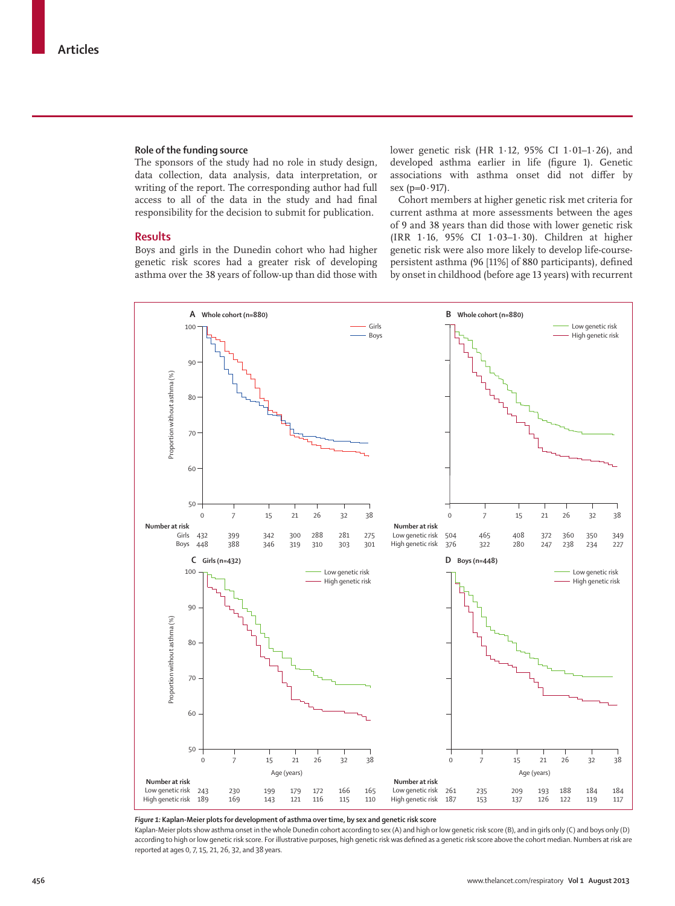## **Role of the funding source**

The sponsors of the study had no role in study design, data collection, data analysis, data interpretation, or writing of the report. The corresponding author had full access to all of the data in the study and had final responsibility for the decision to submit for publication.

# **Results**

Boys and girls in the Dunedin cohort who had higher genetic risk scores had a greater risk of developing asthma over the 38 years of follow-up than did those with lower genetic risk (HR 1·12, 95% CI 1·01–1·26), and developed asthma earlier in life (figure 1). Genetic associations with asthma onset did not differ by sex  $(p=0.917)$ .

Cohort members at higher genetic risk met criteria for current asthma at more assessments between the ages of 9 and 38 years than did those with lower genetic risk (IRR 1·16, 95% CI 1·03–1·30). Children at higher genetic risk were also more likely to develop life-coursepersistent asthma (96 [11%] of 880 participants), defined by onset in childhood (before age 13 years) with recurrent



*Figure 1:* **Kaplan-Meier plots for development of asthma over time, by sex and genetic risk score**

Kaplan-Meier plots show asthma onset in the whole Dunedin cohort according to sex (A) and high or low genetic risk score (B), and in girls only (C) and boys only (D) according to high or low genetic risk score. For illustrative purposes, high genetic risk was defined as a genetic risk score above the cohort median. Numbers at risk are reported at ages 0, 7, 15, 21, 26, 32, and 38 years.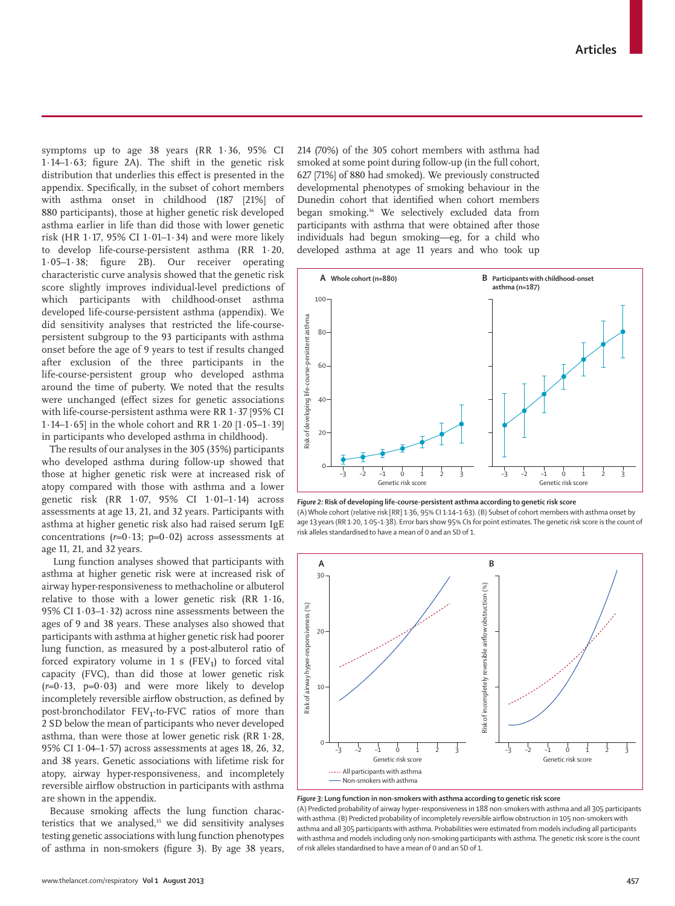symptoms up to age 38 years (RR 1·36, 95% CI  $1.14-1.63$ ; figure 2A). The shift in the genetic risk distribution that underlies this effect is presented in the appendix. Specifically, in the subset of cohort members with asthma onset in childhood (187 [21%] of 880 participants), those at higher genetic risk developed asthma earlier in life than did those with lower genetic risk (HR 1·17, 95% CI 1·01–1·34) and were more likely to develop life-course-persistent asthma (RR 1·20, 1·05–1·38; figure 2B). Our receiver operating characteristic curve analysis showed that the genetic risk score slightly improves individual-level predictions of which participants with childhood-onset asthma developed life-course-persistent asthma (appendix). We did sensitivity analyses that restricted the life-coursepersistent subgroup to the 93 participants with asthma onset before the age of 9 years to test if results changed after exclusion of the three participants in the life-course-persistent group who developed asthma around the time of puberty. We noted that the results were unchanged (effect sizes for genetic associations with life-course-persistent asthma were RR 1·37 [95% CI 1·14–1·65] in the whole cohort and RR 1·20 [1·05–1·39] in participants who developed asthma in childhood).

The results of our analyses in the 305 (35%) participants who developed asthma during follow-up showed that those at higher genetic risk were at increased risk of atopy compared with those with asthma and a lower genetic risk (RR 1·07, 95% CI 1·01–1·14) across assessments at age 13, 21, and 32 years. Participants with asthma at higher genetic risk also had raised serum IgE concentrations  $(r=0.13; p=0.02)$  across assessments at age 11, 21, and 32 years.

 Lung function analyses showed that participants with asthma at higher genetic risk were at increased risk of airway hyper-responsiveness to methacholine or albuterol relative to those with a lower genetic risk (RR 1·16, 95% CI 1·03–1·32) across nine assessments between the ages of 9 and 38 years. These analyses also showed that participants with asthma at higher genetic risk had poorer lung function, as measured by a post-albuterol ratio of forced expiratory volume in 1 s  $(FEV_1)$  to forced vital capacity (FVC), than did those at lower genetic risk  $(r=0.13, p=0.03)$  and were more likely to develop incompletely reversible airflow obstruction, as defined by post-bronchodilator FEV₁-to-FVC ratios of more than 2 SD below the mean of participants who never developed asthma, than were those at lower genetic risk (RR 1·28, 95% CI 1·04–1·57) across assessments at ages 18, 26, 32, and 38 years. Genetic associations with lifetime risk for atopy, airway hyper-responsiveness, and incompletely reversible airflow obstruction in participants with asthma are shown in the appendix.

Because smoking affects the lung function characteristics that we analysed,<sup>35</sup> we did sensitivity analyses testing genetic associations with lung function phenotypes of asthma in non-smokers (figure 3). By age 38 years,

214 (70%) of the 305 cohort members with asthma had smoked at some point during follow-up (in the full cohort, 627 [71%] of 880 had smoked). We previously constructed developmental phenotypes of smoking behaviour in the Dunedin cohort that identified when cohort members began smoking.<sup>36</sup> We selectively excluded data from participants with asthma that were obtained after those individuals had begun smoking—eg, for a child who developed asthma at age 11 years and who took up



*Figure 2:* **Risk of developing life-course-persistent asthma according to genetic risk score**  (A) Whole cohort (relative risk [RR] 1·36, 95% CI 1·14–1·63). (B) Subset of cohort members with asthma onset by

age 13 years (RR 1·20, 1·05–1·38). Error bars show 95% CIs for point estimates. The genetic risk score is the count of risk alleles standardised to have a mean of 0 and an SD of 1.



*Figure 3:* **Lung function in non-smokers with asthma according to genetic risk score**

(A) Predicted probability of airway hyper-responsiveness in 188 non-smokers with asthma and all 305 participants with asthma. (B) Predicted probability of incompletely reversible airflow obstruction in 105 non-smokers with asthma and all 305 participants with asthma. Probabilities were estimated from models including all participants with asthma and models including only non-smoking participants with asthma. The genetic risk score is the count of risk alleles standardised to have a mean of 0 and an SD of 1.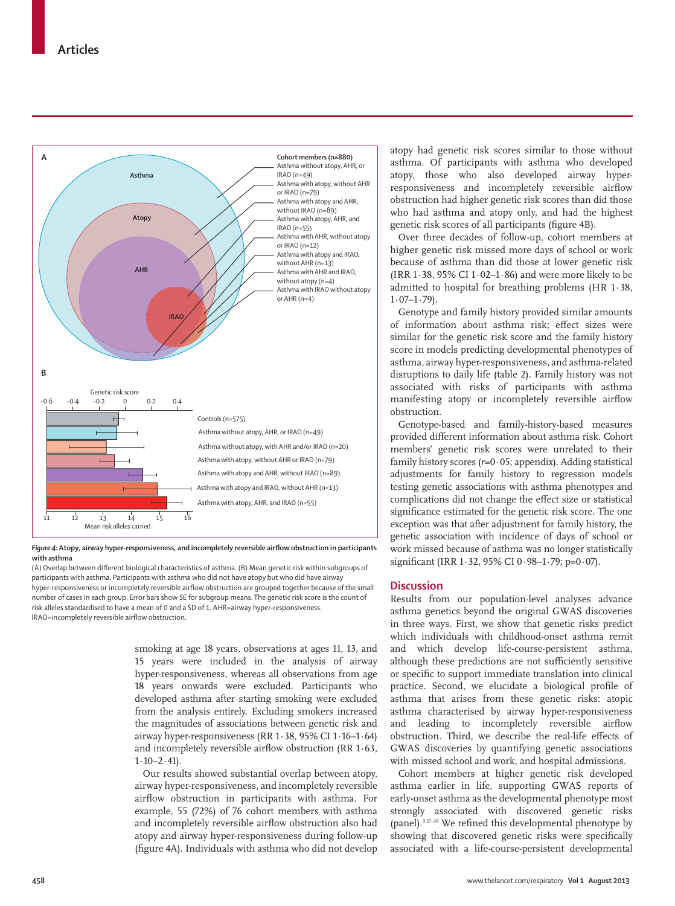

Figure 4: Atopy, airway hyper-responsiveness, and incompletely reversible airflow obstruction in participants **with asthma** 

(A) Overlap between different biological characteristics of asthma. (B) Mean genetic risk within subgroups of participants with asthma. Participants with asthma who did not have atopy but who did have airway hyper-responsiveness or incompletely reversible airflow obstruction are grouped together because of the small number of cases in each group. Error bars show SE for subgroup means. The genetic risk score is the count of risk alleles standardised to have a mean of 0 and a SD of 1. AHR=airway hyper-responsiveness. IRAO=incompletely reversible airflow obstruction.

> smoking at age 18 years, observations at ages 11, 13, and 15 years were included in the analysis of airway hyper-responsiveness, whereas all observations from age 18 years onwards were excluded. Participants who developed asthma after starting smoking were excluded from the analysis entirely. Excluding smokers increased the magnitudes of associations between genetic risk and airway hyper-responsiveness (RR 1·38, 95% CI 1·16–1·64) and incompletely reversible airflow obstruction (RR  $1.63$ ,  $1.10 - 2.41$ .

> Our results showed substantial overlap between atopy, airway hyper-responsiveness, and incompletely reversible airflow obstruction in participants with asthma. For example, 55 (72%) of 76 cohort members with asthma and incompletely reversible airflow obstruction also had atopy and airway hyper-responsiveness during follow-up (figure 4A). Individuals with asthma who did not develop

atopy had genetic risk scores similar to those without asthma. Of participants with asthma who developed atopy, those who also developed airway hyperresponsiveness and incompletely reversible airflow obstruction had higher genetic risk scores than did those who had asthma and atopy only, and had the highest genetic risk scores of all participants (figure 4B).

Over three decades of follow-up, cohort members at higher genetic risk missed more days of school or work because of asthma than did those at lower genetic risk (IRR  $1.38$ , 95% CI  $1.02-1.86$ ) and were more likely to be admitted to hospital for breathing problems (HR 1·38,  $1.07 - 1.79$ ).

Genotype and family history provided similar amounts of information about asthma risk; effect sizes were similar for the genetic risk score and the family history score in models predicting developmental phenotypes of asthma, airway hyper-responsiveness, and asthma-related disruptions to daily life (table 2). Family history was not associated with risks of participants with asthma manifesting atopy or incompletely reversible airflow obstruction.

Genotype-based and family-history-based measures provided different information about asthma risk. Cohort members' genetic risk scores were unrelated to their family history scores  $(r=0.05;$  appendix). Adding statistical adjustments for family history to regression models testing genetic associations with asthma phenotypes and complications did not change the effect size or statistical significance estimated for the genetic risk score. The one exception was that after adjustment for family history, the genetic association with incidence of days of school or work missed because of asthma was no longer statistically significant (IRR 1·32, 95% CI 0·98-1·79; p=0·07).

# **Discussion**

Results from our population-level analyses advance asthma genetics beyond the original GWAS discoveries in three ways. First, we show that genetic risks predict which individuals with childhood-onset asthma remit and which develop life-course-persistent asthma, although these predictions are not sufficiently sensitive or specific to support immediate translation into clinical practice. Second, we elucidate a biological profile of asthma that arises from these genetic risks: atopic asthma characterised by airway hyper-responsiveness and leading to incompletely reversible airflow obstruction. Third, we describe the real-life effects of GWAS discoveries by quantifying genetic associations with missed school and work, and hospital admissions.

Cohort members at higher genetic risk developed asthma earlier in life, supporting GWAS reports of early-onset asthma as the developmental phenotype most strongly associated with discovered genetic risks (panel). $9,37-39$  We refined this developmental phenotype by showing that discovered genetic risks were specifically associated with a life-course-persistent developmental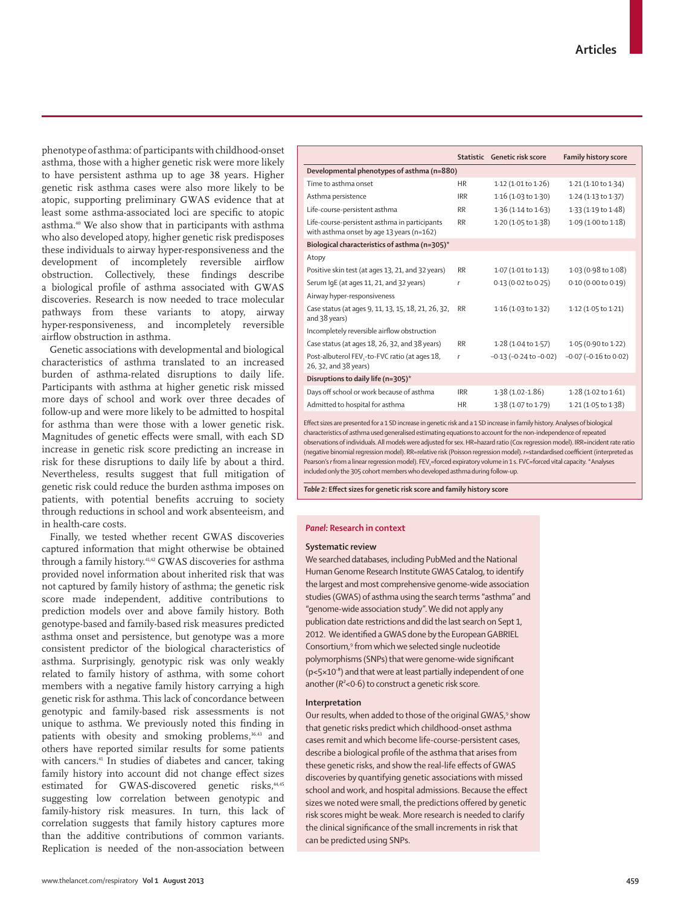phenotype of asthma: of participants with childhood-onset asthma, those with a higher genetic risk were more likely to have persistent asthma up to age 38 years. Higher genetic risk asthma cases were also more likely to be atopic, supporting preliminary GWAS evidence that at least some asthma-associated loci are specific to atopic asthma.40 We also show that in participants with asthma who also developed atopy, higher genetic risk predisposes these individuals to airway hyper-responsiveness and the development of incompletely reversible airflow obstruction. Collectively, these findings describe a biological profile of asthma associated with GWAS discoveries. Research is now needed to trace molecular pathways from these variants to atopy, airway hyper-responsiveness, and incompletely reversible airflow obstruction in asthma.

Genetic associations with developmental and biological characteristics of asthma translated to an increased burden of asthma-related disruptions to daily life. Participants with asthma at higher genetic risk missed more days of school and work over three decades of follow-up and were more likely to be admitted to hospital for asthma than were those with a lower genetic risk. Magnitudes of genetic effects were small, with each SD increase in genetic risk score predicting an increase in risk for these disruptions to daily life by about a third. Nevertheless, results suggest that full mitigation of genetic risk could reduce the burden asthma imposes on patients, with potential benefits accruing to society through reductions in school and work absenteeism, and in health-care costs.

Finally, we tested whether recent GWAS discoveries captured information that might otherwise be obtained through a family history.41,42 GWAS discoveries for asthma provided novel information about inherited risk that was not captured by family history of asthma; the genetic risk score made independent, additive contributions to prediction models over and above family history. Both genotype-based and family-based risk measures predicted asthma onset and persistence, but genotype was a more consistent predictor of the biological characteristics of asthma. Surprisingly, genotypic risk was only weakly related to family history of asthma, with some cohort members with a negative family history carrying a high genetic risk for asthma. This lack of concordance between genotypic and family-based risk assessments is not unique to asthma. We previously noted this finding in patients with obesity and smoking problems,<sup>36,43</sup> and others have reported similar results for some patients with cancers.<sup>41</sup> In studies of diabetes and cancer, taking family history into account did not change effect sizes estimated for GWAS-discovered genetic risks,<sup>44,45</sup> suggesting low correlation between genotypic and family-history risk measures. In turn, this lack of correlation suggests that family history captures more than the additive contributions of common variants. Replication is needed of the non-association between

|                                                                                            |            | Statistic Genetic risk score   | <b>Family history score</b>   |  |  |
|--------------------------------------------------------------------------------------------|------------|--------------------------------|-------------------------------|--|--|
| Developmental phenotypes of asthma (n=880)                                                 |            |                                |                               |  |  |
| Time to asthma onset                                                                       | <b>HR</b>  | 1.12(1.01 to 1.26)             | 1.21(1.10 to 1.34)            |  |  |
| Asthma persistence                                                                         | <b>IRR</b> | $1.16$ (1.03 to 1.30)          | 1.24 (1.13 to 1.37)           |  |  |
| Life-course-persistent asthma                                                              | <b>RR</b>  | 1.36 (1.14 to 1.63)            | 1.33 (1.19 to 1.48)           |  |  |
| Life-course-persistent asthma in participants<br>with asthma onset by age 13 years (n=162) | <b>RR</b>  | 1.20 (1.05 to 1.38)            | 1.09 (1.00 to 1.18)           |  |  |
| Biological characteristics of asthma (n=305)*                                              |            |                                |                               |  |  |
| Atopy                                                                                      |            |                                |                               |  |  |
| Positive skin test (at ages 13, 21, and 32 years)                                          | <b>RR</b>  | 1.07(1.01 to 1.13)             | 1.03 (0.98 to 1.08)           |  |  |
| Serum IqE (at ages 11, 21, and 32 years)                                                   | r          | $0.13(0.02 \text{ to } 0.25)$  | 0.10(0.00 to 0.19)            |  |  |
| Airway hyper-responsiveness                                                                |            |                                |                               |  |  |
| Case status (at ages 9, 11, 13, 15, 18, 21, 26, 32,<br>and 38 years)                       | <b>RR</b>  | $1.16$ (1.03 to 1.32)          | 1.12 (1.05 to 1.21)           |  |  |
| Incompletely reversible airflow obstruction                                                |            |                                |                               |  |  |
| Case status (at ages 18, 26, 32, and 38 years)                                             | <b>RR</b>  | $1.28(1.04 \text{ to } 1.57)$  | 1.05 (0.90 to 1.22)           |  |  |
| Post-albuterol FEV,-to-FVC ratio (at ages 18,<br>26, 32, and 38 years)                     | r          | $-0.13$ ( $-0.24$ to $-0.02$ ) | $-0.07$ ( $-0.16$ to $0.02$ ) |  |  |
| Disruptions to daily life (n=305)*                                                         |            |                                |                               |  |  |
| Days off school or work because of asthma                                                  | <b>IRR</b> | $1.38(1.02 - 1.86)$            | 1.28 (1.02 to 1.61)           |  |  |
| Admitted to hospital for asthma                                                            | <b>HR</b>  | 1.38 (1.07 to 1.79)            | 1.21(1.05 to 1.38)            |  |  |

Effect sizes are presented for a 1 SD increase in genetic risk and a 1 SD increase in family history. Analyses of biological characteristics of asthma used generalised estimating equations to account for the non-independence of repeated observations of individuals. All models were adjusted for sex. HR=hazard ratio (Cox regression model). IRR=incident rate ratio (negative binomial regression model). RR=relative risk (Poisson regression model). *r*=standardised coefficient (interpreted as Pearson's *r* from a linear regression model). FEV<sub>1</sub>=forced expiratory volume in 1 s. FVC=forced vital capacity. \*Analyses included only the 305 cohort members who developed asthma during follow-up.

Table 2: Effect sizes for genetic risk score and family history score

## *Panel:* **Research in context**

## **Systematic review**

We searched databases, including PubMed and the National Human Genome Research Institute GWAS Catalog, to identify the largest and most comprehensive genome-wide association studies (GWAS) of asthma using the search terms "asthma" and "genome-wide association study". We did not apply any publication date restrictions and did the last search on Sept 1, 2012. We identified a GWAS done by the European GABRIEL Consortium,<sup>9</sup> from which we selected single nucleotide polymorphisms (SNPs) that were genome-wide significant (p<5×10– ⁸) and that were at least partially independent of one another (*R²*<0·6) to construct a genetic risk score.

## **Interpretation**

Our results, when added to those of the original GWAS,<sup>9</sup> show that genetic risks predict which childhood-onset asthma cases remit and which become life-course-persistent cases, describe a biological profile of the asthma that arises from these genetic risks, and show the real-life effects of GWAS discoveries by quantifying genetic associations with missed school and work, and hospital admissions. Because the effect sizes we noted were small, the predictions offered by genetic risk scores might be weak. More research is needed to clarify the clinical significance of the small increments in risk that can be predicted using SNPs.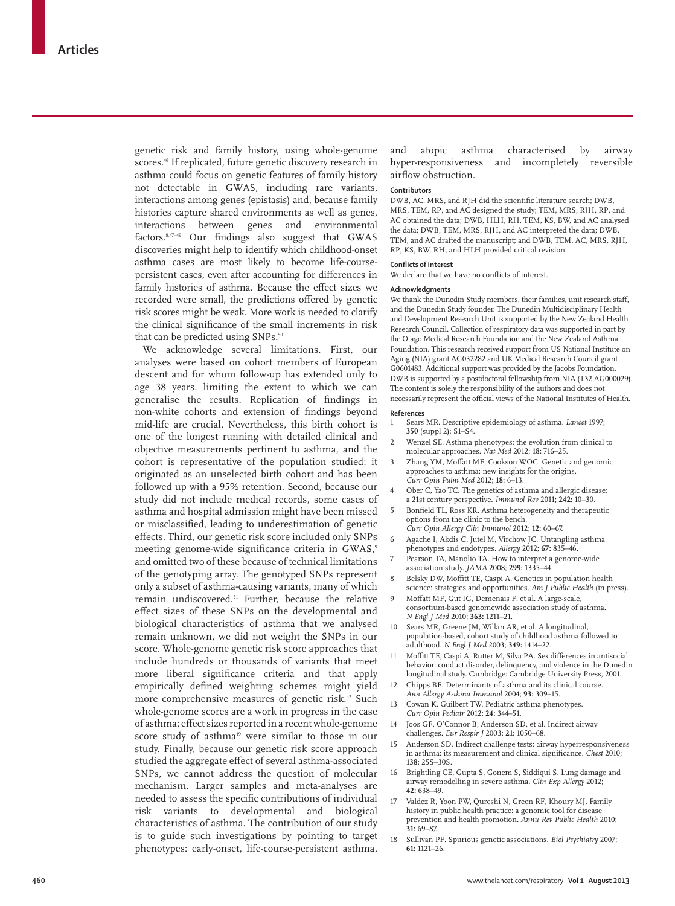genetic risk and family history, using whole-genome scores.<sup>46</sup> If replicated, future genetic discovery research in asthma could focus on genetic features of family history not detectable in GWAS, including rare variants, interactions among genes (epistasis) and, because family histories capture shared environments as well as genes, interactions between genes and environmental factors.<sup>8,47-49</sup> Our findings also suggest that GWAS discoveries might help to identify which childhood-onset asthma cases are most likely to become life-coursepersistent cases, even after accounting for differences in family histories of asthma. Because the effect sizes we recorded were small, the predictions offered by genetic risk scores might be weak. More work is needed to clarify the clinical significance of the small increments in risk that can be predicted using SNPs.<sup>50</sup>

We acknowledge several limitations. First, our analyses were based on cohort members of European descent and for whom follow-up has extended only to age 38 years, limiting the extent to which we can generalise the results. Replication of findings in non-white cohorts and extension of findings beyond mid-life are crucial. Nevertheless, this birth cohort is one of the longest running with detailed clinical and objective measurements pertinent to asthma, and the cohort is representative of the population studied; it originated as an unselected birth cohort and has been followed up with a 95% retention. Second, because our study did not include medical records, some cases of asthma and hospital admission might have been missed or misclassified, leading to underestimation of genetic effects. Third, our genetic risk score included only SNPs meeting genome-wide significance criteria in GWAS,9 and omitted two of these because of technical limitations of the genotyping array. The genotyped SNPs represent only a subset of asthma-causing variants, many of which remain undiscovered.51 Further, because the relative effect sizes of these SNPs on the developmental and biological characteristics of asthma that we analysed remain unknown, we did not weight the SNPs in our score. Whole-genome genetic risk score approaches that include hundreds or thousands of variants that meet more liberal significance criteria and that apply empirically defined weighting schemes might yield more comprehensive measures of genetic risk.<sup>52</sup> Such whole-genome scores are a work in progress in the case of asthma; effect sizes reported in a recent whole-genome score study of asthma<sup>19</sup> were similar to those in our study. Finally, because our genetic risk score approach studied the aggregate effect of several asthma-associated SNPs, we cannot address the question of molecular mechanism. Larger samples and meta-analyses are needed to assess the specific contributions of individual risk variants to developmental and biological characteristics of asthma. The contribution of our study is to guide such investigations by pointing to target phenotypes: early-onset, life-course-persistent asthma,

and atopic asthma characterised by airway hyper-responsiveness and incompletely reversible airflow obstruction.

#### **Contributors**

DWB, AC, MRS, and RIH did the scientific literature search; DWB, MRS, TEM, RP, and AC designed the study; TEM, MRS, RJH, RP, and AC obtained the data; DWB, HLH, RH, TEM, KS, BW, and AC analysed the data; DWB, TEM, MRS, RJH, and AC interpreted the data; DWB, TEM, and AC drafted the manuscript; and DWB, TEM, AC, MRS, RJH, RP, KS, BW, RH, and HLH provided critical revision.

#### **Confl icts of interest**

We declare that we have no conflicts of interest.

### **Acknowledgments**

We thank the Dunedin Study members, their families, unit research staff, and the Dunedin Study founder. The Dunedin Multidisciplinary Health and Development Research Unit is supported by the New Zealand Health Research Council. Collection of respiratory data was supported in part by the Otago Medical Research Foundation and the New Zealand Asthma Foundation. This research received support from US National Institute on Aging (NIA) grant AG032282 and UK Medical Research Council grant G0601483. Additional support was provided by the Jacobs Foundation. DWB is supported by a postdoctoral fellowship from NIA (T32 AG000029). The content is solely the responsibility of the authors and does not necessarily represent the official views of the National Institutes of Health.

#### **References**

- 1 Sears MR. Descriptive epidemiology of asthma. *Lancet* 1997; **350** (suppl 2)**:** S1–S4.
- Wenzel SE. Asthma phenotypes: the evolution from clinical to molecular approaches. *Nat Med* 2012; **18:** 716–25.
- Zhang YM, Moffatt MF, Cookson WOC. Genetic and genomic approaches to asthma: new insights for the origins. *Curr Opin Pulm Med* 2012; **18:** 6–13.
- Ober C, Yao TC. The genetics of asthma and allergic disease: a 21st century perspective. *Immunol Rev* 2011; **242:** 10–30.
- 5 Bonfield TL, Ross KR. Asthma heterogeneity and therapeutic options from the clinic to the bench.
- *Curr Opin Allergy Clin Immunol* 2012; **12:** 60–67. 6 Agache I, Akdis C, Jutel M, Virchow JC. Untangling asthma
- phenotypes and endotypes. *Allergy* 2012; **67:** 835–46. Pearson TA, Manolio TA. How to interpret a genome-wide
- association study. *JAMA* 2008; **299:** 1335–44.
- 8 Belsky DW, Moffitt TE, Caspi A. Genetics in population health science: strategies and opportunities. *Am J Public Health* (in press).
- Moffatt MF, Gut IG, Demenais F, et al. A large-scale, consortium-based genomewide association study of asthma. *N Engl J Med* 2010; **363:** 1211–21.
- 10 Sears MR, Greene JM, Willan AR, et al. A longitudinal, population-based, cohort study of childhood asthma followed to adulthood. *N Engl J Med* 2003; **349:** 1414–22.
- 11 Moffitt TE, Caspi A, Rutter M, Silva PA. Sex differences in antisocial behavior: conduct disorder, delinquency, and violence in the Dunedin longitudinal study. Cambridge: Cambridge University Press, 2001.
- 12 Chipps BE. Determinants of asthma and its clinical course. *Ann Allergy Asthma Immunol* 2004; **93:** 309–15.
- Cowan K, Guilbert TW. Pediatric asthma phenotypes. *Curr Opin Pediatr* 2012; **24:** 344–51.
- Joos GF, O'Connor B, Anderson SD, et al. Indirect airway challenges. *Eur Respir J* 2003; **21:** 1050–68.
- 15 Anderson SD. Indirect challenge tests: airway hyperresponsiveness in asthma: its measurement and clinical significance. *Chest* 2010; **138:** 25S–30S.
- 16 Brightling CE, Gupta S, Gonem S, Siddiqui S. Lung damage and airway remodelling in severe asthma. *Clin Exp Allergy* 2012; **42:** 638–49.
- 17 Valdez R, Yoon PW, Qureshi N, Green RF, Khoury MJ. Family history in public health practice: a genomic tool for disease prevention and health promotion. *Annu Rev Public Health* 2010; **31:** 69–87.
- 18 Sullivan PF. Spurious genetic associations. *Biol Psychiatry* 2007; **61:** 1121–26.